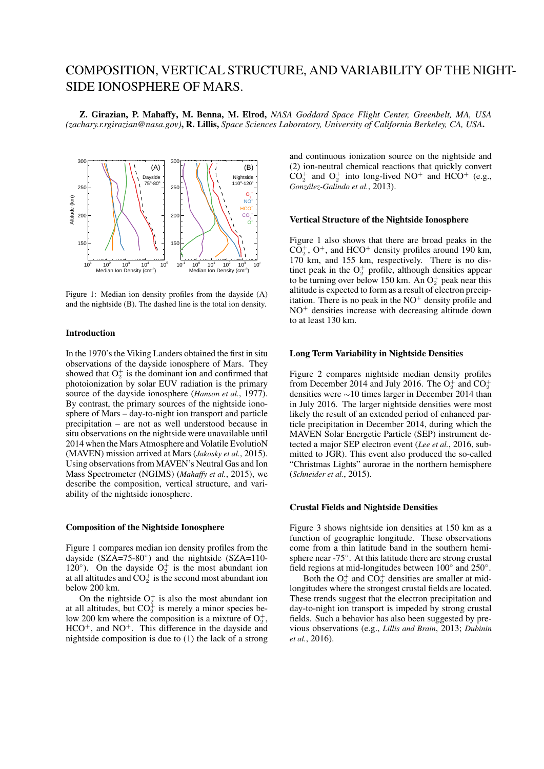# COMPOSITION, VERTICAL STRUCTURE, AND VARIABILITY OF THE NIGHT-SIDE IONOSPHERE OF MARS.

Z. Girazian, P. Mahaffy, M. Benna, M. Elrod, *NASA Goddard Space Flight Center, Greenbelt, MA, USA (zachary.r.rgirazian@nasa.gov)*, R. Lillis, *Space Sciences Laboratory, University of California Berkeley, CA, USA*.



Figure 1: Median ion density profiles from the dayside (A) and the nightside (B). The dashed line is the total ion density.

# Introduction

In the 1970's the Viking Landers obtained the first in situ observations of the dayside ionosphere of Mars. They showed that  $O_2^+$  is the dominant ion and confirmed that photoionization by solar EUV radiation is the primary source of the dayside ionosphere (*Hanson et al.*, 1977). By contrast, the primary sources of the nightside ionosphere of Mars – day-to-night ion transport and particle precipitation – are not as well understood because in situ observations on the nightside were unavailable until 2014 when the Mars Atmosphere and Volatile EvolutioN (MAVEN) mission arrived at Mars (*Jakosky et al.*, 2015). Using observations from MAVEN's Neutral Gas and Ion Mass Spectrometer (NGIMS) (*Mahaffy et al.*, 2015), we describe the composition, vertical structure, and variability of the nightside ionosphere.

# Composition of the Nightside Ionosphere

Figure 1 compares median ion density profiles from the dayside (SZA=75-80*◦* ) and the nightside (SZA=110- 120 $\degree$ ). On the dayside  $O_2^+$  is the most abundant ion at all altitudes and  $CO_2^+$  is the second most abundant ion below 200 km.

On the nightside  $O_2^+$  is also the most abundant ion at all altitudes, but  $CO_2^+$  is merely a minor species below 200 km where the composition is a mixture of  $O_2^+$ , HCO<sup>+</sup>, and NO<sup>+</sup>. This difference in the dayside and nightside composition is due to (1) the lack of a strong

(A)  $\begin{bmatrix} \uparrow \\ \downarrow \end{bmatrix}$   $\begin{bmatrix} \downarrow \\ \downarrow \end{bmatrix}$  (B)  $\begin{bmatrix} \downarrow \\ \downarrow \end{bmatrix}$  (2) ion-neutral chemical reactions that quickly convert  $CO_2^+$  and  $O_2^+$  into long-lived NO<sup>+</sup> and HCO<sup>+</sup> (e.g., and continuous ionization source on the nightside and  $González-Galindo et al., 2013).$ 

#### Vertical Structure of the Nightside Ionosphere

170 km, and 155 km, respectively. There is no distinct peak in the  $O_2^+$  profile, although densities appear Figure 1 also shows that there are broad peaks in the  $CO<sub>2</sub><sup>+</sup>$ ,  $O<sup>+</sup>$ , and HCO<sup>+</sup> density profiles around 190 km, to be turning over below 150 km. An  $O_2^+$  peak near this altitude is expected to form as a result of electron precipitation. There is no peak in the  $NO<sup>+</sup>$  density profile and NO<sup>+</sup> densities increase with decreasing altitude down to at least 130 km.

# Long Term Variability in Nightside Densities

Figure 2 compares nightside median density profiles from December 2014 and July 2016. The  $O_2^+$  and  $CO_2^+$ densities were *∼*10 times larger in December 2014 than in July 2016. The larger nightside densities were most likely the result of an extended period of enhanced particle precipitation in December 2014, during which the MAVEN Solar Energetic Particle (SEP) instrument detected a major SEP electron event (*Lee et al.*, 2016, submitted to JGR). This event also produced the so-called "Christmas Lights" aurorae in the northern hemisphere (*Schneider et al.*, 2015).

# Crustal Fields and Nightside Densities

Figure 3 shows nightside ion densities at 150 km as a function of geographic longitude. These observations come from a thin latitude band in the southern hemisphere near -75*◦* . At this latitude there are strong crustal field regions at mid-longitudes between 100*◦* and 250*◦* .

Both the  $O_2^+$  and  $CO_2^+$  densities are smaller at midlongitudes where the strongest crustal fields are located. These trends suggest that the electron precipitation and day-to-night ion transport is impeded by strong crustal fields. Such a behavior has also been suggested by previous observations (e.g., *Lillis and Brain*, 2013; *Dubinin et al.*, 2016).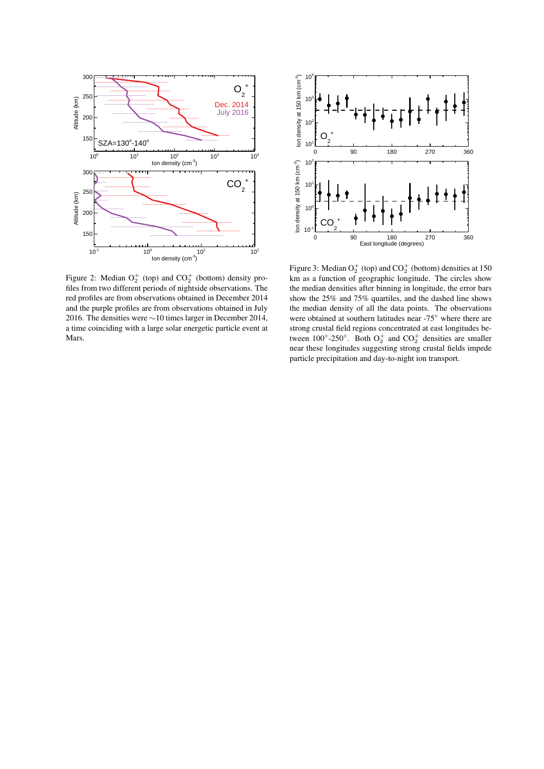



For the densities were not allocated in Become 1961;<br>a time coinciding with a large solar energetic particle event at and the purple profiles are from observations obtained in July files from two different periods of nightside observations. The es<br>d <sub>I</sub><br>16 Figure 2: Median  $O_2^+$  (top) and  $CO_2^+$  (bottom) density prored profiles are from observations obtained in December 2014 2016. The densities were ∼10 times larger in December 2014, Mars. edi<br>Iod<br>e 1

near these longitudes suggesting strong crustal fields impede particle precipitation and day-to-night ion transport. strong crustal field regions concentrated at east longitudes bethe median density of all the data points. The observations the median densities after binning in longitude, the error bars Figure 3: Median  $O_2^+$  (top) and  $CO_2^+$  (bottom) densities at 150 km as a function of geographic longitude. The circles show show the 25% and 75% quartiles, and the dashed line shows were obtained at southern latitudes near -75*◦* where there are tween  $100^{\circ}$ -250<sup>°</sup>. Both  $O_2^+$  and  $CO_2^+$  densities are smaller